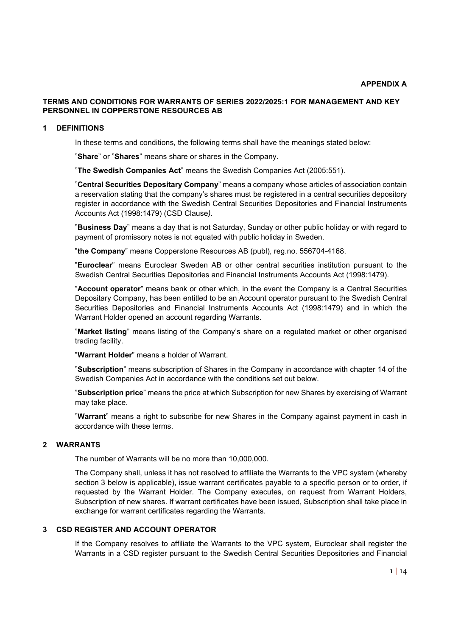# **TERMS AND CONDITIONS FOR WARRANTS OF SERIES 2022/2025:1 FOR MANAGEMENT AND KEY PERSONNEL IN COPPERSTONE RESOURCES AB**

#### **1 DEFINITIONS**

In these terms and conditions, the following terms shall have the meanings stated below:

"**Share**" or "**Shares**" means share or shares in the Company.

"**The Swedish Companies Act**" means the Swedish Companies Act (2005:551).

"**Central Securities Depositary Company**" means a company whose articles of association contain a reservation stating that the company's shares must be registered in a central securities depository register in accordance with the Swedish Central Securities Depositories and Financial Instruments Accounts Act (1998:1479) (CSD Clause*)*.

"**Business Day**" means a day that is not Saturday, Sunday or other public holiday or with regard to payment of promissory notes is not equated with public holiday in Sweden.

"**the Company**" means Copperstone Resources AB (publ), reg.no. 556704-4168.

"**Euroclear**" means Euroclear Sweden AB or other central securities institution pursuant to the Swedish Central Securities Depositories and Financial Instruments Accounts Act (1998:1479).

"**Account operator**" means bank or other which, in the event the Company is a Central Securities Depositary Company, has been entitled to be an Account operator pursuant to the Swedish Central Securities Depositories and Financial Instruments Accounts Act (1998:1479) and in which the Warrant Holder opened an account regarding Warrants.

"**Market listing**" means listing of the Company's share on a regulated market or other organised trading facility.

"**Warrant Holder**" means a holder of Warrant.

"**Subscription**" means subscription of Shares in the Company in accordance with chapter 14 of the Swedish Companies Act in accordance with the conditions set out below.

"**Subscription price**" means the price at which Subscription for new Shares by exercising of Warrant may take place.

"**Warrant**" means a right to subscribe for new Shares in the Company against payment in cash in accordance with these terms.

# **2 WARRANTS**

The number of Warrants will be no more than 10,000,000.

The Company shall, unless it has not resolved to affiliate the Warrants to the VPC system (whereby section 3 below is applicable), issue warrant certificates payable to a specific person or to order, if requested by the Warrant Holder. The Company executes, on request from Warrant Holders, Subscription of new shares. If warrant certificates have been issued, Subscription shall take place in exchange for warrant certificates regarding the Warrants.

### **3 CSD REGISTER AND ACCOUNT OPERATOR**

If the Company resolves to affiliate the Warrants to the VPC system, Euroclear shall register the Warrants in a CSD register pursuant to the Swedish Central Securities Depositories and Financial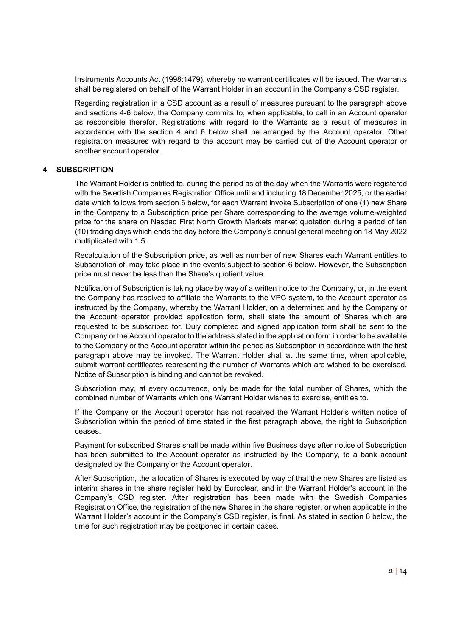Instruments Accounts Act (1998:1479), whereby no warrant certificates will be issued. The Warrants shall be registered on behalf of the Warrant Holder in an account in the Company's CSD register.

Regarding registration in a CSD account as a result of measures pursuant to the paragraph above and sections 4-6 below, the Company commits to, when applicable, to call in an Account operator as responsible therefor. Registrations with regard to the Warrants as a result of measures in accordance with the section 4 and 6 below shall be arranged by the Account operator. Other registration measures with regard to the account may be carried out of the Account operator or another account operator.

### **4 SUBSCRIPTION**

The Warrant Holder is entitled to, during the period as of the day when the Warrants were registered with the Swedish Companies Registration Office until and including 18 December 2025, or the earlier date which follows from section 6 below, for each Warrant invoke Subscription of one (1) new Share in the Company to a Subscription price per Share corresponding to the average volume-weighted price for the share on Nasdaq First North Growth Markets market quotation during a period of ten (10) trading days which ends the day before the Company's annual general meeting on 18 May 2022 multiplicated with 1.5.

Recalculation of the Subscription price, as well as number of new Shares each Warrant entitles to Subscription of, may take place in the events subject to section 6 below. However, the Subscription price must never be less than the Share's quotient value.

Notification of Subscription is taking place by way of a written notice to the Company, or, in the event the Company has resolved to affiliate the Warrants to the VPC system, to the Account operator as instructed by the Company, whereby the Warrant Holder, on a determined and by the Company or the Account operator provided application form, shall state the amount of Shares which are requested to be subscribed for. Duly completed and signed application form shall be sent to the Company or the Account operator to the address stated in the application form in order to be available to the Company or the Account operator within the period as Subscription in accordance with the first paragraph above may be invoked. The Warrant Holder shall at the same time, when applicable, submit warrant certificates representing the number of Warrants which are wished to be exercised. Notice of Subscription is binding and cannot be revoked.

Subscription may, at every occurrence, only be made for the total number of Shares, which the combined number of Warrants which one Warrant Holder wishes to exercise, entitles to.

If the Company or the Account operator has not received the Warrant Holder's written notice of Subscription within the period of time stated in the first paragraph above, the right to Subscription ceases.

Payment for subscribed Shares shall be made within five Business days after notice of Subscription has been submitted to the Account operator as instructed by the Company, to a bank account designated by the Company or the Account operator.

After Subscription, the allocation of Shares is executed by way of that the new Shares are listed as interim shares in the share register held by Euroclear, and in the Warrant Holder's account in the Company's CSD register. After registration has been made with the Swedish Companies Registration Office, the registration of the new Shares in the share register, or when applicable in the Warrant Holder's account in the Company's CSD register, is final. As stated in section 6 below, the time for such registration may be postponed in certain cases.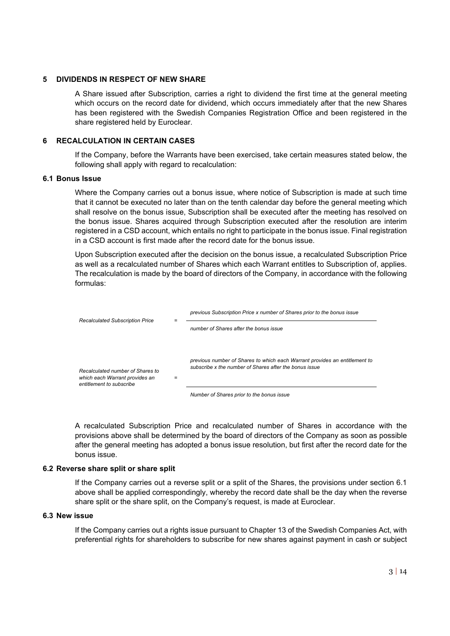#### **5 DIVIDENDS IN RESPECT OF NEW SHARE**

A Share issued after Subscription, carries a right to dividend the first time at the general meeting which occurs on the record date for dividend, which occurs immediately after that the new Shares has been registered with the Swedish Companies Registration Office and been registered in the share registered held by Euroclear.

# **6 RECALCULATION IN CERTAIN CASES**

If the Company, before the Warrants have been exercised, take certain measures stated below, the following shall apply with regard to recalculation:

# **6.1 Bonus Issue**

Where the Company carries out a bonus issue, where notice of Subscription is made at such time that it cannot be executed no later than on the tenth calendar day before the general meeting which shall resolve on the bonus issue, Subscription shall be executed after the meeting has resolved on the bonus issue. Shares acquired through Subscription executed after the resolution are interim registered in a CSD account, which entails no right to participate in the bonus issue. Final registration in a CSD account is first made after the record date for the bonus issue.

Upon Subscription executed after the decision on the bonus issue, a recalculated Subscription Price as well as a recalculated number of Shares which each Warrant entitles to Subscription of, applies. The recalculation is made by the board of directors of the Company, in accordance with the following formulas:



*Number of Shares prior to the bonus issue*

A recalculated Subscription Price and recalculated number of Shares in accordance with the provisions above shall be determined by the board of directors of the Company as soon as possible after the general meeting has adopted a bonus issue resolution, but first after the record date for the bonus issue.

# **6.2 Reverse share split or share split**

If the Company carries out a reverse split or a split of the Shares, the provisions under section 6.1 above shall be applied correspondingly, whereby the record date shall be the day when the reverse share split or the share split, on the Company's request, is made at Euroclear.

### **6.3 New issue**

If the Company carries out a rights issue pursuant to Chapter 13 of the Swedish Companies Act, with preferential rights for shareholders to subscribe for new shares against payment in cash or subject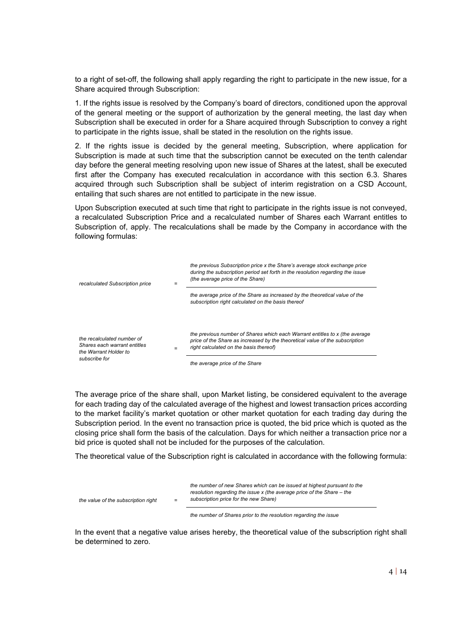to a right of set-off, the following shall apply regarding the right to participate in the new issue, for a Share acquired through Subscription:

1. If the rights issue is resolved by the Company's board of directors, conditioned upon the approval of the general meeting or the support of authorization by the general meeting, the last day when Subscription shall be executed in order for a Share acquired through Subscription to convey a right to participate in the rights issue, shall be stated in the resolution on the rights issue.

2. If the rights issue is decided by the general meeting, Subscription, where application for Subscription is made at such time that the subscription cannot be executed on the tenth calendar day before the general meeting resolving upon new issue of Shares at the latest, shall be executed first after the Company has executed recalculation in accordance with this section 6.3. Shares acquired through such Subscription shall be subject of interim registration on a CSD Account, entailing that such shares are not entitled to participate in the new issue.

Upon Subscription executed at such time that right to participate in the rights issue is not conveyed, a recalculated Subscription Price and a recalculated number of Shares each Warrant entitles to Subscription of, apply. The recalculations shall be made by the Company in accordance with the following formulas:

| recalculated Subscription price                                                                      | $\equiv$ | the previous Subscription price x the Share's average stock exchange price<br>during the subscription period set forth in the resolution regarding the issue<br>(the average price of the Share)      |
|------------------------------------------------------------------------------------------------------|----------|-------------------------------------------------------------------------------------------------------------------------------------------------------------------------------------------------------|
|                                                                                                      |          | the average price of the Share as increased by the theoretical value of the<br>subscription right calculated on the basis thereof                                                                     |
| the recalculated number of<br>Shares each warrant entitles<br>the Warrant Holder to<br>subscribe for | $=$      | the previous number of Shares which each Warrant entitles to x (the average<br>price of the Share as increased by the theoretical value of the subscription<br>right calculated on the basis thereof) |
|                                                                                                      |          | the average price of the Share                                                                                                                                                                        |

The average price of the share shall, upon Market listing, be considered equivalent to the average for each trading day of the calculated average of the highest and lowest transaction prices according to the market facility's market quotation or other market quotation for each trading day during the Subscription period. In the event no transaction price is quoted, the bid price which is quoted as the closing price shall form the basis of the calculation. Days for which neither a transaction price nor a bid price is quoted shall not be included for the purposes of the calculation.

The theoretical value of the Subscription right is calculated in accordance with the following formula:

| the value of the subscription right | $=$ | the number of new Shares which can be issued at highest pursuant to the<br>resolution regarding the issue $x$ (the average price of the Share – the<br>subscription price for the new Share) |
|-------------------------------------|-----|----------------------------------------------------------------------------------------------------------------------------------------------------------------------------------------------|
|                                     |     |                                                                                                                                                                                              |

*the number of Shares prior to the resolution regarding the issue*

In the event that a negative value arises hereby, the theoretical value of the subscription right shall be determined to zero.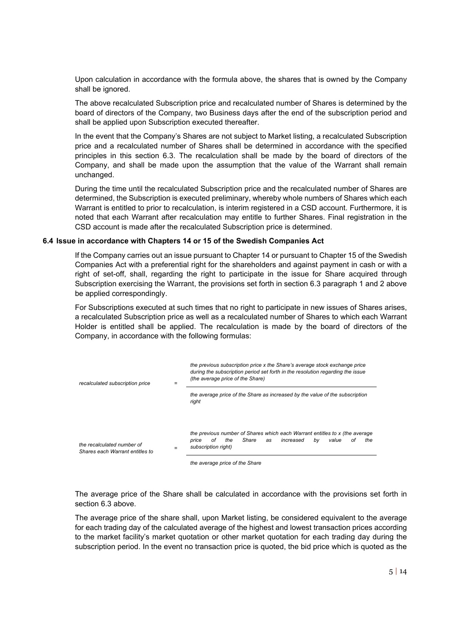Upon calculation in accordance with the formula above, the shares that is owned by the Company shall be ignored.

The above recalculated Subscription price and recalculated number of Shares is determined by the board of directors of the Company, two Business days after the end of the subscription period and shall be applied upon Subscription executed thereafter.

In the event that the Company's Shares are not subject to Market listing, a recalculated Subscription price and a recalculated number of Shares shall be determined in accordance with the specified principles in this section 6.3. The recalculation shall be made by the board of directors of the Company, and shall be made upon the assumption that the value of the Warrant shall remain unchanged.

During the time until the recalculated Subscription price and the recalculated number of Shares are determined, the Subscription is executed preliminary, whereby whole numbers of Shares which each Warrant is entitled to prior to recalculation, is interim registered in a CSD account. Furthermore, it is noted that each Warrant after recalculation may entitle to further Shares. Final registration in the CSD account is made after the recalculated Subscription price is determined.

#### **6.4 Issue in accordance with Chapters 14 or 15 of the Swedish Companies Act**

If the Company carries out an issue pursuant to Chapter 14 or pursuant to Chapter 15 of the Swedish Companies Act with a preferential right for the shareholders and against payment in cash or with a right of set-off, shall, regarding the right to participate in the issue for Share acquired through Subscription exercising the Warrant, the provisions set forth in section 6.3 paragraph 1 and 2 above be applied correspondingly.

For Subscriptions executed at such times that no right to participate in new issues of Shares arises, a recalculated Subscription price as well as a recalculated number of Shares to which each Warrant Holder is entitled shall be applied. The recalculation is made by the board of directors of the Company, in accordance with the following formulas:



*the average price of the Share* 

The average price of the Share shall be calculated in accordance with the provisions set forth in section 6.3 above.

The average price of the share shall, upon Market listing, be considered equivalent to the average for each trading day of the calculated average of the highest and lowest transaction prices according to the market facility's market quotation or other market quotation for each trading day during the subscription period. In the event no transaction price is quoted, the bid price which is quoted as the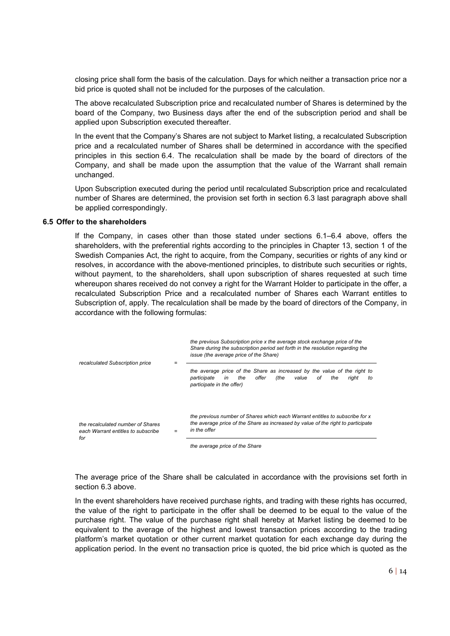closing price shall form the basis of the calculation. Days for which neither a transaction price nor a bid price is quoted shall not be included for the purposes of the calculation.

The above recalculated Subscription price and recalculated number of Shares is determined by the board of the Company, two Business days after the end of the subscription period and shall be applied upon Subscription executed thereafter.

In the event that the Company's Shares are not subject to Market listing, a recalculated Subscription price and a recalculated number of Shares shall be determined in accordance with the specified principles in this section 6.4. The recalculation shall be made by the board of directors of the Company, and shall be made upon the assumption that the value of the Warrant shall remain unchanged.

Upon Subscription executed during the period until recalculated Subscription price and recalculated number of Shares are determined, the provision set forth in section 6.3 last paragraph above shall be applied correspondingly.

#### **6.5 Offer to the shareholders**

If the Company, in cases other than those stated under sections 6.1–6.4 above, offers the shareholders, with the preferential rights according to the principles in Chapter 13, section 1 of the Swedish Companies Act, the right to acquire, from the Company, securities or rights of any kind or resolves, in accordance with the above-mentioned principles, to distribute such securities or rights, without payment, to the shareholders, shall upon subscription of shares requested at such time whereupon shares received do not convey a right for the Warrant Holder to participate in the offer, a recalculated Subscription Price and a recalculated number of Shares each Warrant entitles to Subscription of, apply. The recalculation shall be made by the board of directors of the Company, in accordance with the following formulas:

| recalculated Subscription price                                                |  | the previous Subscription price x the average stock exchange price of the<br>Share during the subscription period set forth in the resolution regarding the<br><i>issue (the average price of the Share)</i> |
|--------------------------------------------------------------------------------|--|--------------------------------------------------------------------------------------------------------------------------------------------------------------------------------------------------------------|
|                                                                                |  | the average price of the Share as increased by the value of the right to<br>offer<br>(the<br>value<br>participate<br>the<br>of<br>the<br>in<br>riaht<br>to<br>participate in the offer)                      |
| the recalculated number of Shares<br>each Warrant entitles to subscribe<br>for |  | the previous number of Shares which each Warrant entitles to subscribe for x<br>the average price of the Share as increased by value of the right to participate<br>in the offer                             |
|                                                                                |  | the average price of the Share                                                                                                                                                                               |

The average price of the Share shall be calculated in accordance with the provisions set forth in section 6.3 above.

In the event shareholders have received purchase rights, and trading with these rights has occurred, the value of the right to participate in the offer shall be deemed to be equal to the value of the purchase right. The value of the purchase right shall hereby at Market listing be deemed to be equivalent to the average of the highest and lowest transaction prices according to the trading platform's market quotation or other current market quotation for each exchange day during the application period. In the event no transaction price is quoted, the bid price which is quoted as the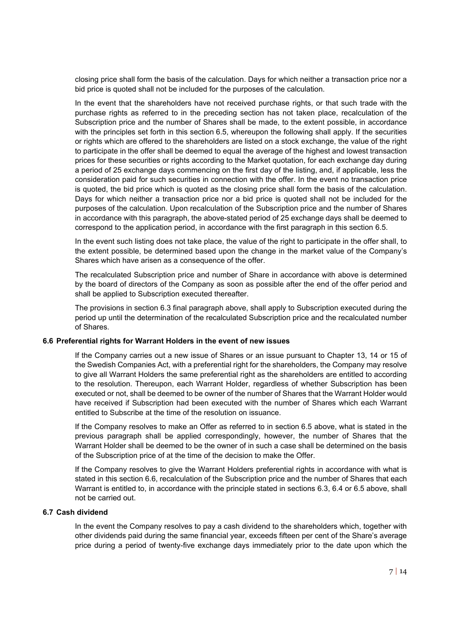closing price shall form the basis of the calculation. Days for which neither a transaction price nor a bid price is quoted shall not be included for the purposes of the calculation.

In the event that the shareholders have not received purchase rights, or that such trade with the purchase rights as referred to in the preceding section has not taken place, recalculation of the Subscription price and the number of Shares shall be made, to the extent possible, in accordance with the principles set forth in this section 6.5, whereupon the following shall apply. If the securities or rights which are offered to the shareholders are listed on a stock exchange, the value of the right to participate in the offer shall be deemed to equal the average of the highest and lowest transaction prices for these securities or rights according to the Market quotation, for each exchange day during a period of 25 exchange days commencing on the first day of the listing, and, if applicable, less the consideration paid for such securities in connection with the offer. In the event no transaction price is quoted, the bid price which is quoted as the closing price shall form the basis of the calculation. Days for which neither a transaction price nor a bid price is quoted shall not be included for the purposes of the calculation. Upon recalculation of the Subscription price and the number of Shares in accordance with this paragraph, the above-stated period of 25 exchange days shall be deemed to correspond to the application period, in accordance with the first paragraph in this section 6.5.

In the event such listing does not take place, the value of the right to participate in the offer shall, to the extent possible, be determined based upon the change in the market value of the Company's Shares which have arisen as a consequence of the offer.

The recalculated Subscription price and number of Share in accordance with above is determined by the board of directors of the Company as soon as possible after the end of the offer period and shall be applied to Subscription executed thereafter.

The provisions in section 6.3 final paragraph above, shall apply to Subscription executed during the period up until the determination of the recalculated Subscription price and the recalculated number of Shares.

#### **6.6 Preferential rights for Warrant Holders in the event of new issues**

If the Company carries out a new issue of Shares or an issue pursuant to Chapter 13, 14 or 15 of the Swedish Companies Act, with a preferential right for the shareholders, the Company may resolve to give all Warrant Holders the same preferential right as the shareholders are entitled to according to the resolution. Thereupon, each Warrant Holder, regardless of whether Subscription has been executed or not, shall be deemed to be owner of the number of Shares that the Warrant Holder would have received if Subscription had been executed with the number of Shares which each Warrant entitled to Subscribe at the time of the resolution on issuance.

If the Company resolves to make an Offer as referred to in section 6.5 above, what is stated in the previous paragraph shall be applied correspondingly, however, the number of Shares that the Warrant Holder shall be deemed to be the owner of in such a case shall be determined on the basis of the Subscription price of at the time of the decision to make the Offer.

If the Company resolves to give the Warrant Holders preferential rights in accordance with what is stated in this section 6.6, recalculation of the Subscription price and the number of Shares that each Warrant is entitled to, in accordance with the principle stated in sections 6.3, 6.4 or 6.5 above, shall not be carried out.

### **6.7 Cash dividend**

In the event the Company resolves to pay a cash dividend to the shareholders which, together with other dividends paid during the same financial year, exceeds fifteen per cent of the Share's average price during a period of twenty-five exchange days immediately prior to the date upon which the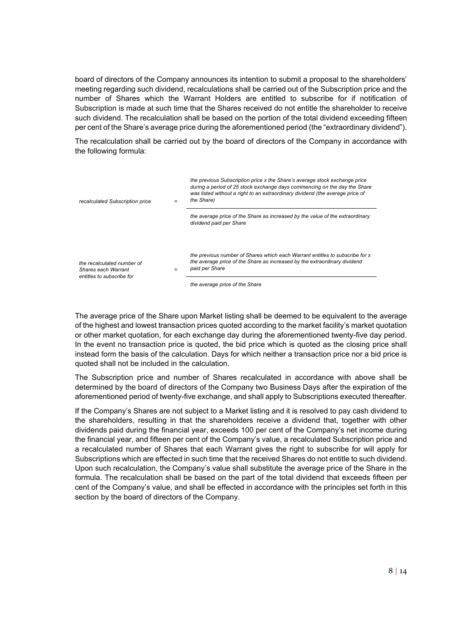board of directors of the Company announces its intention to submit a proposal to the shareholders' meeting regarding such dividend, recalculations shall be carried out of the Subscription price and the number of Shares which the Warrant Holders are entitled to subscribe for if notification of Subscription is made at such time that the Shares received do not entitle the shareholder to receive such dividend. The recalculation shall be based on the portion of the total dividend exceeding fifteen per cent of the Share's average price during the aforementioned period (the "extraordinary dividend").

The recalculation shall be carried out by the board of directors of the Company in accordance with the following formula:

| recalculated Subscription price                                                | $=$ | the previous Subscription price x the Share's average stock exchange price<br>during a period of 25 stock exchange days commencing on the day the Share<br>was listed without a right to an extraordinary dividend (the average price of<br>the Share) |
|--------------------------------------------------------------------------------|-----|--------------------------------------------------------------------------------------------------------------------------------------------------------------------------------------------------------------------------------------------------------|
|                                                                                |     | the average price of the Share as increased by the value of the extraordinary<br>dividend paid per Share                                                                                                                                               |
| the recalculated number of<br>Shares each Warrant<br>entitles to subscribe for |     | the previous number of Shares which each Warrant entitles to subscribe for x<br>the average price of the Share as increased by the extraordinary dividend<br>paid per Share                                                                            |
|                                                                                |     | the average price of the Share                                                                                                                                                                                                                         |

The average price of the Share upon Market listing shall be deemed to be equivalent to the average of the highest and lowest transaction prices quoted according to the market facility's market quotation or other market quotation, for each exchange day during the aforementioned twenty-five day period. In the event no transaction price is quoted, the bid price which is quoted as the closing price shall instead form the basis of the calculation. Days for which neither a transaction price nor a bid price is quoted shall not be included in the calculation.

The Subscription price and number of Shares recalculated in accordance with above shall be determined by the board of directors of the Company two Business Days after the expiration of the aforementioned period of twenty-five exchange, and shall apply to Subscriptions executed thereafter.

If the Company's Shares are not subject to a Market listing and it is resolved to pay cash dividend to the shareholders, resulting in that the shareholders receive a dividend that, together with other dividends paid during the financial year, exceeds 100 per cent of the Company's net income during the financial year, and fifteen per cent of the Company's value, a recalculated Subscription price and a recalculated number of Shares that each Warrant gives the right to subscribe for will apply for Subscriptions which are effected in such time that the received Shares do not entitle to such dividend. Upon such recalculation, the Company's value shall substitute the average price of the Share in the formula. The recalculation shall be based on the part of the total dividend that exceeds fifteen per cent of the Company's value, and shall be effected in accordance with the principles set forth in this section by the board of directors of the Company.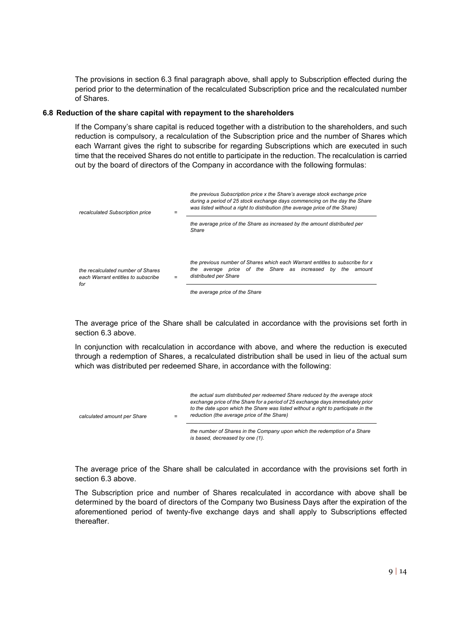The provisions in section 6.3 final paragraph above, shall apply to Subscription effected during the period prior to the determination of the recalculated Subscription price and the recalculated number of Shares.

### **6.8 Reduction of the share capital with repayment to the shareholders**

If the Company's share capital is reduced together with a distribution to the shareholders, and such reduction is compulsory, a recalculation of the Subscription price and the number of Shares which each Warrant gives the right to subscribe for regarding Subscriptions which are executed in such time that the received Shares do not entitle to participate in the reduction. The recalculation is carried out by the board of directors of the Company in accordance with the following formulas:

| recalculated Subscription price                                                | $=$ | the previous Subscription price x the Share's average stock exchange price<br>during a period of 25 stock exchange days commencing on the day the Share<br>was listed without a right to distribution (the average price of the Share) |
|--------------------------------------------------------------------------------|-----|----------------------------------------------------------------------------------------------------------------------------------------------------------------------------------------------------------------------------------------|
|                                                                                |     | the average price of the Share as increased by the amount distributed per<br>Share                                                                                                                                                     |
| the recalculated number of Shares<br>each Warrant entitles to subscribe<br>for | $=$ | the previous number of Shares which each Warrant entitles to subscribe for x<br>the average price of the Share as increased by the<br>amount<br>distributed per Share<br>the average price of the Share                                |

The average price of the Share shall be calculated in accordance with the provisions set forth in section 6.3 above.

In conjunction with recalculation in accordance with above, and where the reduction is executed through a redemption of Shares, a recalculated distribution shall be used in lieu of the actual sum which was distributed per redeemed Share, in accordance with the following:

| calculated amount per Share | $=$ | the actual sum distributed per redeemed Share reduced by the average stock<br>exchange price of the Share for a period of 25 exchange days immediately prior<br>to the date upon which the Share was listed without a right to participate in the<br>reduction (the average price of the Share) |
|-----------------------------|-----|-------------------------------------------------------------------------------------------------------------------------------------------------------------------------------------------------------------------------------------------------------------------------------------------------|
|                             |     | the sumplement Obenez in the Ocurrence control the indication of a Obenez                                                                                                                                                                                                                       |

*the number of Shares in the Company upon which the redemption of a Share is based, decreased by one (1).*

The average price of the Share shall be calculated in accordance with the provisions set forth in section 6.3 above.

The Subscription price and number of Shares recalculated in accordance with above shall be determined by the board of directors of the Company two Business Days after the expiration of the aforementioned period of twenty-five exchange days and shall apply to Subscriptions effected thereafter.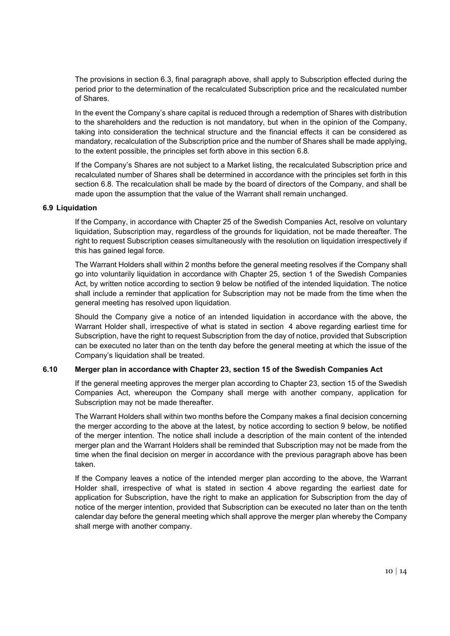The provisions in section 6.3, final paragraph above, shall apply to Subscription effected during the period prior to the determination of the recalculated Subscription price and the recalculated number of Shares.

In the event the Company's share capital is reduced through a redemption of Shares with distribution to the shareholders and the reduction is not mandatory, but when in the opinion of the Company, taking into consideration the technical structure and the financial effects it can be considered as mandatory, recalculation of the Subscription price and the number of Shares shall be made applying, to the extent possible, the principles set forth above in this section 6.8.

If the Company's Shares are not subject to a Market listing, the recalculated Subscription price and recalculated number of Shares shall be determined in accordance with the principles set forth in this section 6.8. The recalculation shall be made by the board of directors of the Company, and shall be made upon the assumption that the value of the Warrant shall remain unchanged.

### **6.9 Liquidation**

If the Company, in accordance with Chapter 25 of the Swedish Companies Act, resolve on voluntary liquidation, Subscription may, regardless of the grounds for liquidation, not be made thereafter. The right to request Subscription ceases simultaneously with the resolution on liquidation irrespectively if this has gained legal force.

The Warrant Holders shall within 2 months before the general meeting resolves if the Company shall go into voluntarily liquidation in accordance with Chapter 25, section 1 of the Swedish Companies Act, by written notice according to section 9 below be notified of the intended liquidation. The notice shall include a reminder that application for Subscription may not be made from the time when the general meeting has resolved upon liquidation.

Should the Company give a notice of an intended liquidation in accordance with the above, the Warrant Holder shall, irrespective of what is stated in section 4 above regarding earliest time for Subscription, have the right to request Subscription from the day of notice, provided that Subscription can be executed no later than on the tenth day before the general meeting at which the issue of the Company's liquidation shall be treated.

# **6.10 Merger plan in accordance with Chapter 23, section 15 of the Swedish Companies Act**

If the general meeting approves the merger plan according to Chapter 23, section 15 of the Swedish Companies Act, whereupon the Company shall merge with another company, application for Subscription may not be made thereafter.

The Warrant Holders shall within two months before the Company makes a final decision concerning the merger according to the above at the latest, by notice according to section 9 below, be notified of the merger intention. The notice shall include a description of the main content of the intended merger plan and the Warrant Holders shall be reminded that Subscription may not be made from the time when the final decision on merger in accordance with the previous paragraph above has been taken.

If the Company leaves a notice of the intended merger plan according to the above, the Warrant Holder shall, irrespective of what is stated in section 4 above regarding the earliest date for application for Subscription, have the right to make an application for Subscription from the day of notice of the merger intention, provided that Subscription can be executed no later than on the tenth calendar day before the general meeting which shall approve the merger plan whereby the Company shall merge with another company.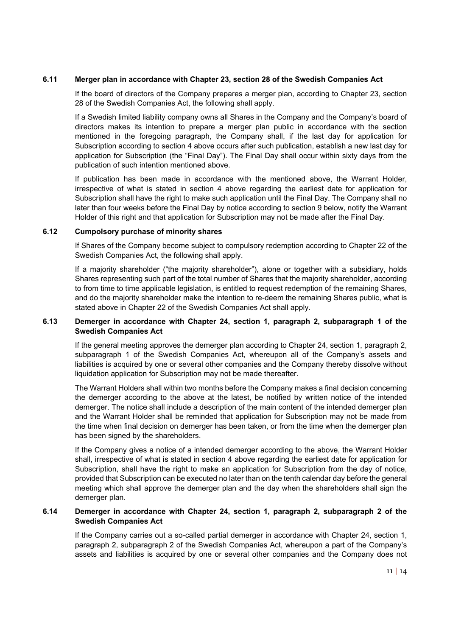### **6.11 Merger plan in accordance with Chapter 23, section 28 of the Swedish Companies Act**

If the board of directors of the Company prepares a merger plan, according to Chapter 23, section 28 of the Swedish Companies Act, the following shall apply.

If a Swedish limited liability company owns all Shares in the Company and the Company's board of directors makes its intention to prepare a merger plan public in accordance with the section mentioned in the foregoing paragraph, the Company shall, if the last day for application for Subscription according to section 4 above occurs after such publication, establish a new last day for application for Subscription (the "Final Day"). The Final Day shall occur within sixty days from the publication of such intention mentioned above.

If publication has been made in accordance with the mentioned above, the Warrant Holder, irrespective of what is stated in section 4 above regarding the earliest date for application for Subscription shall have the right to make such application until the Final Day. The Company shall no later than four weeks before the Final Day by notice according to section 9 below, notify the Warrant Holder of this right and that application for Subscription may not be made after the Final Day.

### **6.12 Cumpolsory purchase of minority shares**

If Shares of the Company become subject to compulsory redemption according to Chapter 22 of the Swedish Companies Act, the following shall apply.

If a majority shareholder ("the majority shareholder"), alone or together with a subsidiary, holds Shares representing such part of the total number of Shares that the majority shareholder, according to from time to time applicable legislation, is entitled to request redemption of the remaining Shares, and do the majority shareholder make the intention to re-deem the remaining Shares public, what is stated above in Chapter 22 of the Swedish Companies Act shall apply.

# **6.13 Demerger in accordance with Chapter 24, section 1, paragraph 2, subparagraph 1 of the Swedish Companies Act**

If the general meeting approves the demerger plan according to Chapter 24, section 1, paragraph 2, subparagraph 1 of the Swedish Companies Act, whereupon all of the Company's assets and liabilities is acquired by one or several other companies and the Company thereby dissolve without liquidation application for Subscription may not be made thereafter.

The Warrant Holders shall within two months before the Company makes a final decision concerning the demerger according to the above at the latest, be notified by written notice of the intended demerger. The notice shall include a description of the main content of the intended demerger plan and the Warrant Holder shall be reminded that application for Subscription may not be made from the time when final decision on demerger has been taken, or from the time when the demerger plan has been signed by the shareholders.

If the Company gives a notice of a intended demerger according to the above, the Warrant Holder shall, irrespective of what is stated in section 4 above regarding the earliest date for application for Subscription, shall have the right to make an application for Subscription from the day of notice, provided that Subscription can be executed no later than on the tenth calendar day before the general meeting which shall approve the demerger plan and the day when the shareholders shall sign the demerger plan.

# **6.14 Demerger in accordance with Chapter 24, section 1, paragraph 2, subparagraph 2 of the Swedish Companies Act**

If the Company carries out a so-called partial demerger in accordance with Chapter 24, section 1, paragraph 2, subparagraph 2 of the Swedish Companies Act, whereupon a part of the Company's assets and liabilities is acquired by one or several other companies and the Company does not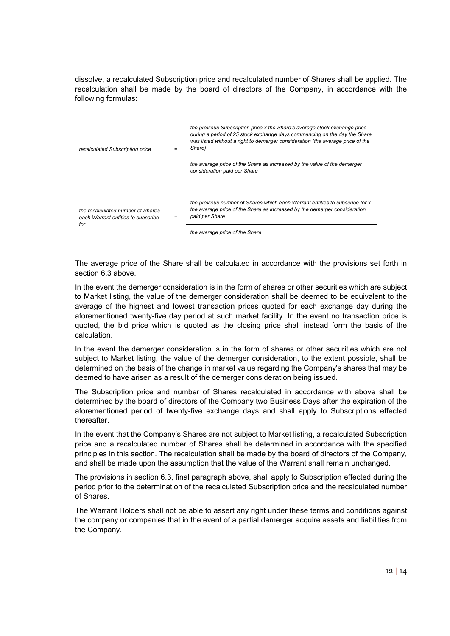dissolve, a recalculated Subscription price and recalculated number of Shares shall be applied. The recalculation shall be made by the board of directors of the Company, in accordance with the following formulas:

| recalculated Subscription price                                                | $=$ | the previous Subscription price x the Share's average stock exchange price<br>during a period of 25 stock exchange days commencing on the day the Share<br>was listed without a right to demerger consideration (the average price of the<br>Share) |
|--------------------------------------------------------------------------------|-----|-----------------------------------------------------------------------------------------------------------------------------------------------------------------------------------------------------------------------------------------------------|
|                                                                                |     | the average price of the Share as increased by the value of the demerger<br>consideration paid per Share                                                                                                                                            |
| the recalculated number of Shares<br>each Warrant entitles to subscribe<br>for |     | the previous number of Shares which each Warrant entitles to subscribe for x<br>the average price of the Share as increased by the demerger consideration<br>paid per Share                                                                         |

*the average price of the Share*

The average price of the Share shall be calculated in accordance with the provisions set forth in section 6.3 above.

In the event the demerger consideration is in the form of shares or other securities which are subject to Market listing, the value of the demerger consideration shall be deemed to be equivalent to the average of the highest and lowest transaction prices quoted for each exchange day during the aforementioned twenty-five day period at such market facility. In the event no transaction price is quoted, the bid price which is quoted as the closing price shall instead form the basis of the calculation.

In the event the demerger consideration is in the form of shares or other securities which are not subject to Market listing, the value of the demerger consideration, to the extent possible, shall be determined on the basis of the change in market value regarding the Company's shares that may be deemed to have arisen as a result of the demerger consideration being issued.

The Subscription price and number of Shares recalculated in accordance with above shall be determined by the board of directors of the Company two Business Days after the expiration of the aforementioned period of twenty-five exchange days and shall apply to Subscriptions effected thereafter.

In the event that the Company's Shares are not subject to Market listing, a recalculated Subscription price and a recalculated number of Shares shall be determined in accordance with the specified principles in this section. The recalculation shall be made by the board of directors of the Company, and shall be made upon the assumption that the value of the Warrant shall remain unchanged.

The provisions in section 6.3, final paragraph above, shall apply to Subscription effected during the period prior to the determination of the recalculated Subscription price and the recalculated number of Shares.

The Warrant Holders shall not be able to assert any right under these terms and conditions against the company or companies that in the event of a partial demerger acquire assets and liabilities from the Company.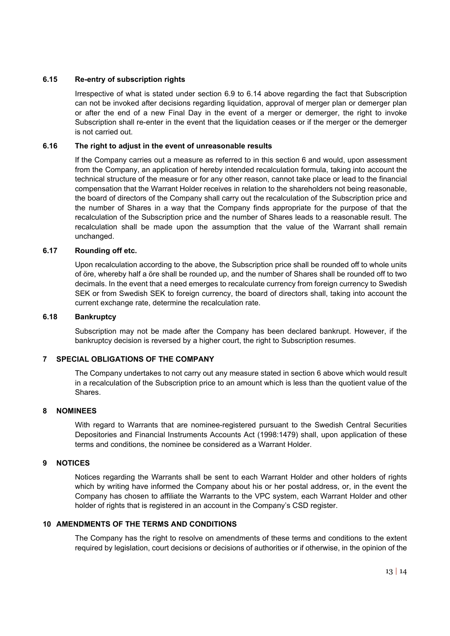# **6.15 Re-entry of subscription rights**

Irrespective of what is stated under section 6.9 to 6.14 above regarding the fact that Subscription can not be invoked after decisions regarding liquidation, approval of merger plan or demerger plan or after the end of a new Final Day in the event of a merger or demerger, the right to invoke Subscription shall re-enter in the event that the liquidation ceases or if the merger or the demerger is not carried out.

### **6.16 The right to adjust in the event of unreasonable results**

If the Company carries out a measure as referred to in this section 6 and would, upon assessment from the Company, an application of hereby intended recalculation formula, taking into account the technical structure of the measure or for any other reason, cannot take place or lead to the financial compensation that the Warrant Holder receives in relation to the shareholders not being reasonable, the board of directors of the Company shall carry out the recalculation of the Subscription price and the number of Shares in a way that the Company finds appropriate for the purpose of that the recalculation of the Subscription price and the number of Shares leads to a reasonable result. The recalculation shall be made upon the assumption that the value of the Warrant shall remain unchanged.

### **6.17 Rounding off etc.**

Upon recalculation according to the above, the Subscription price shall be rounded off to whole units of öre, whereby half a öre shall be rounded up, and the number of Shares shall be rounded off to two decimals. In the event that a need emerges to recalculate currency from foreign currency to Swedish SEK or from Swedish SEK to foreign currency, the board of directors shall, taking into account the current exchange rate, determine the recalculation rate.

#### **6.18 Bankruptcy**

Subscription may not be made after the Company has been declared bankrupt. However, if the bankruptcy decision is reversed by a higher court, the right to Subscription resumes.

#### **7 SPECIAL OBLIGATIONS OF THE COMPANY**

The Company undertakes to not carry out any measure stated in section 6 above which would result in a recalculation of the Subscription price to an amount which is less than the quotient value of the Shares.

#### **8 NOMINEES**

With regard to Warrants that are nominee-registered pursuant to the Swedish Central Securities Depositories and Financial Instruments Accounts Act (1998:1479) shall, upon application of these terms and conditions, the nominee be considered as a Warrant Holder.

#### **9 NOTICES**

Notices regarding the Warrants shall be sent to each Warrant Holder and other holders of rights which by writing have informed the Company about his or her postal address, or, in the event the Company has chosen to affiliate the Warrants to the VPC system, each Warrant Holder and other holder of rights that is registered in an account in the Company's CSD register.

# **10 AMENDMENTS OF THE TERMS AND CONDITIONS**

The Company has the right to resolve on amendments of these terms and conditions to the extent required by legislation, court decisions or decisions of authorities or if otherwise, in the opinion of the